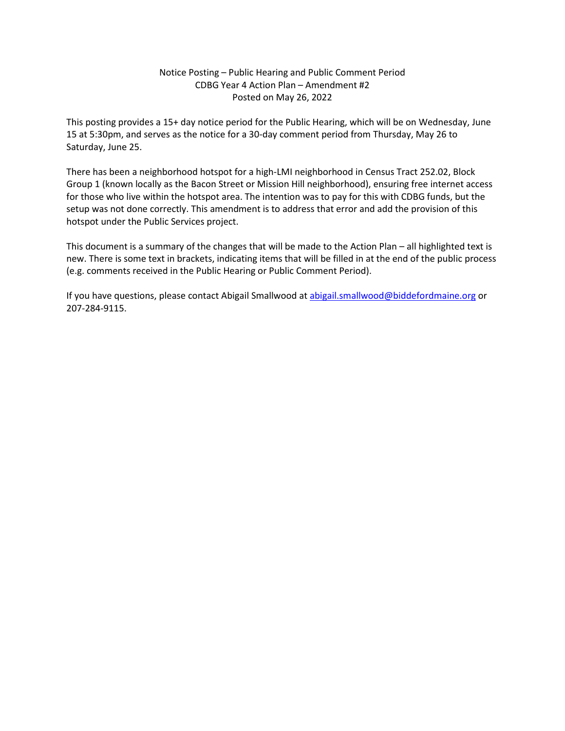#### Notice Posting – Public Hearing and Public Comment Period CDBG Year 4 Action Plan – Amendment #2 Posted on May 26, 2022

This posting provides a 15+ day notice period for the Public Hearing, which will be on Wednesday, June 15 at 5:30pm, and serves as the notice for a 30-day comment period from Thursday, May 26 to Saturday, June 25.

There has been a neighborhood hotspot for a high-LMI neighborhood in Census Tract 252.02, Block Group 1 (known locally as the Bacon Street or Mission Hill neighborhood), ensuring free internet access for those who live within the hotspot area. The intention was to pay for this with CDBG funds, but the setup was not done correctly. This amendment is to address that error and add the provision of this hotspot under the Public Services project.

This document is a summary of the changes that will be made to the Action Plan – all highlighted text is new. There is some text in brackets, indicating items that will be filled in at the end of the public process (e.g. comments received in the Public Hearing or Public Comment Period).

If you have questions, please contact Abigail Smallwood a[t abigail.smallwood@biddefordmaine.org](mailto:abigail.smallwood@biddefordmaine.org) or 207-284-9115.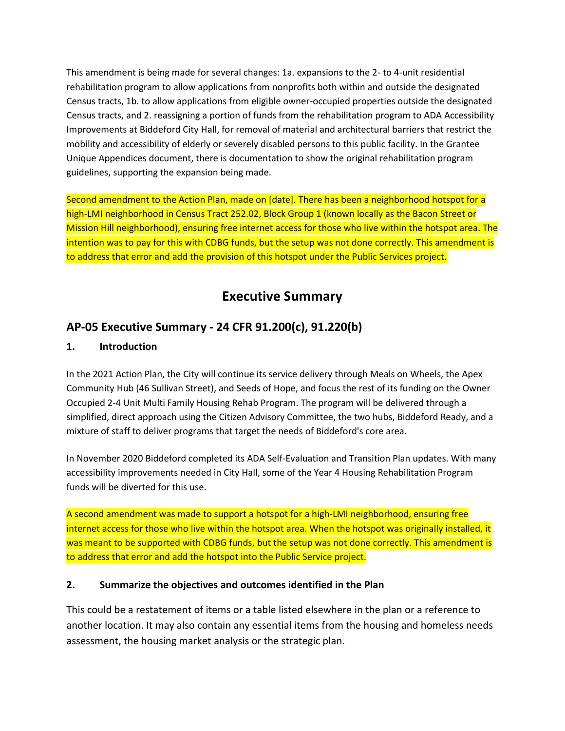This amendment is being made for several changes: 1a. expansions to the 2- to 4-unit residential rehabilitation program to allow applications from nonprofits both within and outside the designated Census tracts, 1b. to allow applications from eligible owner-occupied properties outside the designated Census tracts, and 2. reassigning a portion of funds from the rehabilitation program to ADA Accessibility Improvements at Biddeford City Hall, for removal of material and architectural barriers that restrict the mobility and accessibility of elderly or severely disabled persons to this public facility. In the Grantee Unique Appendices document, there is documentation to show the original rehabilitation program guidelines, supporting the expansion being made.

Second amendment to the Action Plan, made on [date]. There has been a neighborhood hotspot for a high-LMI neighborhood in Census Tract 252.02, Block Group 1 (known locally as the Bacon Street or Mission Hill neighborhood), ensuring free internet access for those who live within the hotspot area. The intention was to pay for this with CDBG funds, but the setup was not done correctly. This amendment is to address that error and add the provision of this hotspot under the Public Services project.

# **Executive Summary**

## **AP-05 Executive Summary - 24 CFR 91.200(c), 91.220(b)**

#### **1. Introduction**

In the 2021 Action Plan, the City will continue its service delivery through Meals on Wheels, the Apex Community Hub (46 Sullivan Street), and Seeds of Hope, and focus the rest of its funding on the Owner Occupied 2-4 Unit Multi Family Housing Rehab Program. The program will be delivered through a simplified, direct approach using the Citizen Advisory Committee, the two hubs, Biddeford Ready, and a mixture of staff to deliver programs that target the needs of Biddeford's core area.

In November 2020 Biddeford completed its ADA Self-Evaluation and Transition Plan updates. With many accessibility improvements needed in City Hall, some of the Year 4 Housing Rehabilitation Program funds will be diverted for this use.

A second amendment was made to support a hotspot for a high-LMI neighborhood, ensuring free internet access for those who live within the hotspot area. When the hotspot was originally installed, it was meant to be supported with CDBG funds, but the setup was not done correctly. This amendment is to address that error and add the hotspot into the Public Service project.

#### **2. Summarize the objectives and outcomes identified in the Plan**

This could be a restatement of items or a table listed elsewhere in the plan or a reference to another location. It may also contain any essential items from the housing and homeless needs assessment, the housing market analysis or the strategic plan.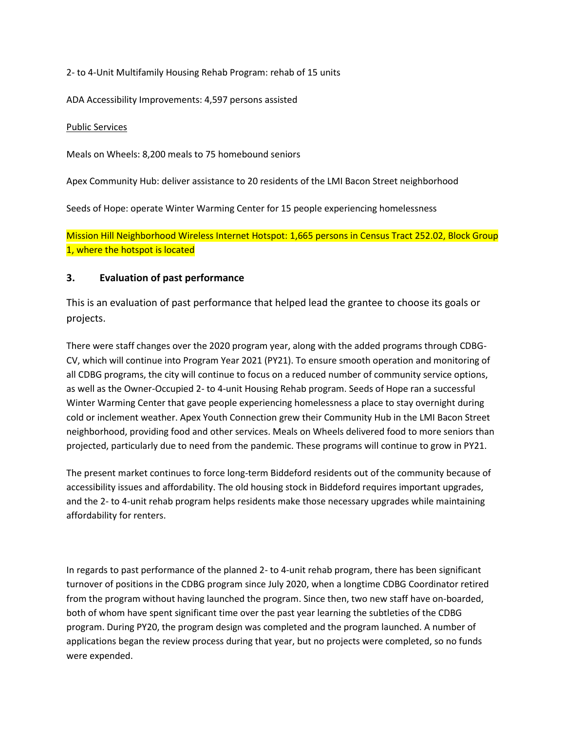2- to 4-Unit Multifamily Housing Rehab Program: rehab of 15 units

ADA Accessibility Improvements: 4,597 persons assisted

#### Public Services

Meals on Wheels: 8,200 meals to 75 homebound seniors

Apex Community Hub: deliver assistance to 20 residents of the LMI Bacon Street neighborhood

Seeds of Hope: operate Winter Warming Center for 15 people experiencing homelessness

Mission Hill Neighborhood Wireless Internet Hotspot: 1,665 persons in Census Tract 252.02, Block Group 1, where the hotspot is located

#### **3. Evaluation of past performance**

This is an evaluation of past performance that helped lead the grantee to choose its goals or projects.

There were staff changes over the 2020 program year, along with the added programs through CDBG-CV, which will continue into Program Year 2021 (PY21). To ensure smooth operation and monitoring of all CDBG programs, the city will continue to focus on a reduced number of community service options, as well as the Owner-Occupied 2- to 4-unit Housing Rehab program. Seeds of Hope ran a successful Winter Warming Center that gave people experiencing homelessness a place to stay overnight during cold or inclement weather. Apex Youth Connection grew their Community Hub in the LMI Bacon Street neighborhood, providing food and other services. Meals on Wheels delivered food to more seniors than projected, particularly due to need from the pandemic. These programs will continue to grow in PY21.

The present market continues to force long-term Biddeford residents out of the community because of accessibility issues and affordability. The old housing stock in Biddeford requires important upgrades, and the 2- to 4-unit rehab program helps residents make those necessary upgrades while maintaining affordability for renters.

In regards to past performance of the planned 2- to 4-unit rehab program, there has been significant turnover of positions in the CDBG program since July 2020, when a longtime CDBG Coordinator retired from the program without having launched the program. Since then, two new staff have on-boarded, both of whom have spent significant time over the past year learning the subtleties of the CDBG program. During PY20, the program design was completed and the program launched. A number of applications began the review process during that year, but no projects were completed, so no funds were expended.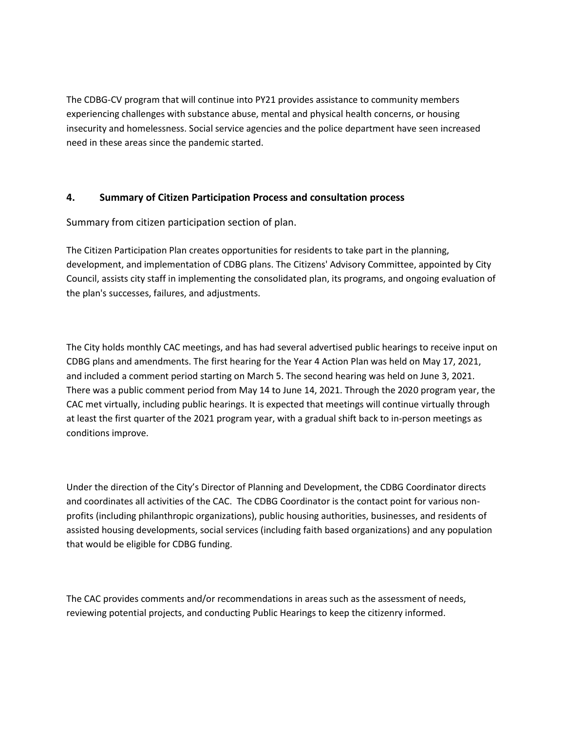The CDBG-CV program that will continue into PY21 provides assistance to community members experiencing challenges with substance abuse, mental and physical health concerns, or housing insecurity and homelessness. Social service agencies and the police department have seen increased need in these areas since the pandemic started.

#### **4. Summary of Citizen Participation Process and consultation process**

Summary from citizen participation section of plan.

The Citizen Participation Plan creates opportunities for residents to take part in the planning, development, and implementation of CDBG plans. The Citizens' Advisory Committee, appointed by City Council, assists city staff in implementing the consolidated plan, its programs, and ongoing evaluation of the plan's successes, failures, and adjustments.

The City holds monthly CAC meetings, and has had several advertised public hearings to receive input on CDBG plans and amendments. The first hearing for the Year 4 Action Plan was held on May 17, 2021, and included a comment period starting on March 5. The second hearing was held on June 3, 2021. There was a public comment period from May 14 to June 14, 2021. Through the 2020 program year, the CAC met virtually, including public hearings. It is expected that meetings will continue virtually through at least the first quarter of the 2021 program year, with a gradual shift back to in-person meetings as conditions improve.

Under the direction of the City's Director of Planning and Development, the CDBG Coordinator directs and coordinates all activities of the CAC. The CDBG Coordinator is the contact point for various nonprofits (including philanthropic organizations), public housing authorities, businesses, and residents of assisted housing developments, social services (including faith based organizations) and any population that would be eligible for CDBG funding.

The CAC provides comments and/or recommendations in areas such as the assessment of needs, reviewing potential projects, and conducting Public Hearings to keep the citizenry informed.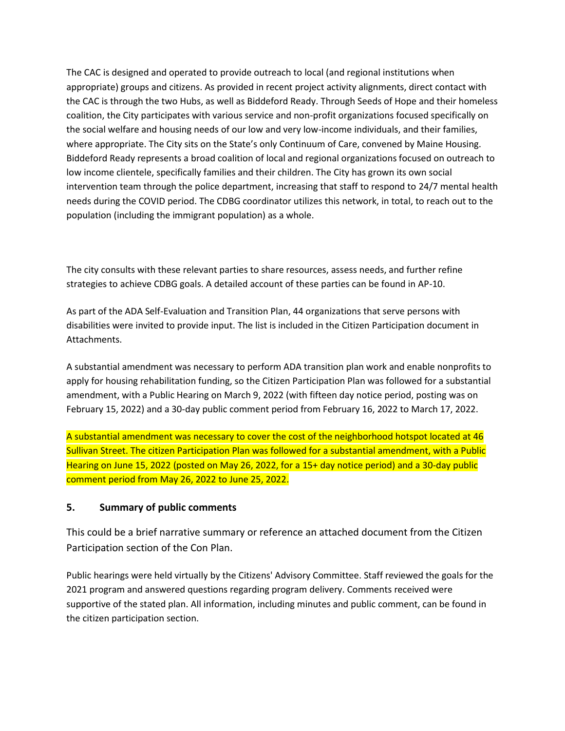The CAC is designed and operated to provide outreach to local (and regional institutions when appropriate) groups and citizens. As provided in recent project activity alignments, direct contact with the CAC is through the two Hubs, as well as Biddeford Ready. Through Seeds of Hope and their homeless coalition, the City participates with various service and non-profit organizations focused specifically on the social welfare and housing needs of our low and very low-income individuals, and their families, where appropriate. The City sits on the State's only Continuum of Care, convened by Maine Housing. Biddeford Ready represents a broad coalition of local and regional organizations focused on outreach to low income clientele, specifically families and their children. The City has grown its own social intervention team through the police department, increasing that staff to respond to 24/7 mental health needs during the COVID period. The CDBG coordinator utilizes this network, in total, to reach out to the population (including the immigrant population) as a whole.

The city consults with these relevant parties to share resources, assess needs, and further refine strategies to achieve CDBG goals. A detailed account of these parties can be found in AP-10.

As part of the ADA Self-Evaluation and Transition Plan, 44 organizations that serve persons with disabilities were invited to provide input. The list is included in the Citizen Participation document in Attachments.

A substantial amendment was necessary to perform ADA transition plan work and enable nonprofits to apply for housing rehabilitation funding, so the Citizen Participation Plan was followed for a substantial amendment, with a Public Hearing on March 9, 2022 (with fifteen day notice period, posting was on February 15, 2022) and a 30-day public comment period from February 16, 2022 to March 17, 2022.

A substantial amendment was necessary to cover the cost of the neighborhood hotspot located at 46 Sullivan Street. The citizen Participation Plan was followed for a substantial amendment, with a Public Hearing on June 15, 2022 (posted on May 26, 2022, for a 15+ day notice period) and a 30-day public comment period from May 26, 2022 to June 25, 2022.

#### **5. Summary of public comments**

This could be a brief narrative summary or reference an attached document from the Citizen Participation section of the Con Plan.

Public hearings were held virtually by the Citizens' Advisory Committee. Staff reviewed the goals for the 2021 program and answered questions regarding program delivery. Comments received were supportive of the stated plan. All information, including minutes and public comment, can be found in the citizen participation section.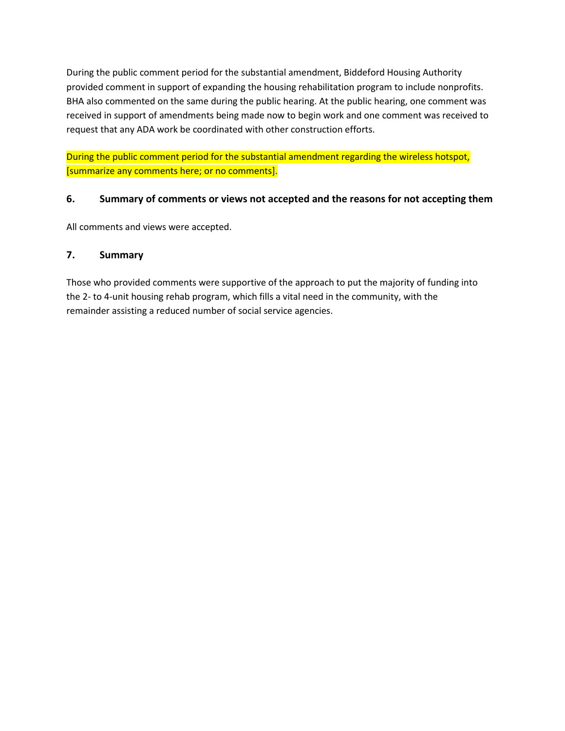During the public comment period for the substantial amendment, Biddeford Housing Authority provided comment in support of expanding the housing rehabilitation program to include nonprofits. BHA also commented on the same during the public hearing. At the public hearing, one comment was received in support of amendments being made now to begin work and one comment was received to request that any ADA work be coordinated with other construction efforts.

During the public comment period for the substantial amendment regarding the wireless hotspot, [summarize any comments here; or no comments].

#### **6. Summary of comments or views not accepted and the reasons for not accepting them**

All comments and views were accepted.

#### **7. Summary**

Those who provided comments were supportive of the approach to put the majority of funding into the 2- to 4-unit housing rehab program, which fills a vital need in the community, with the remainder assisting a reduced number of social service agencies.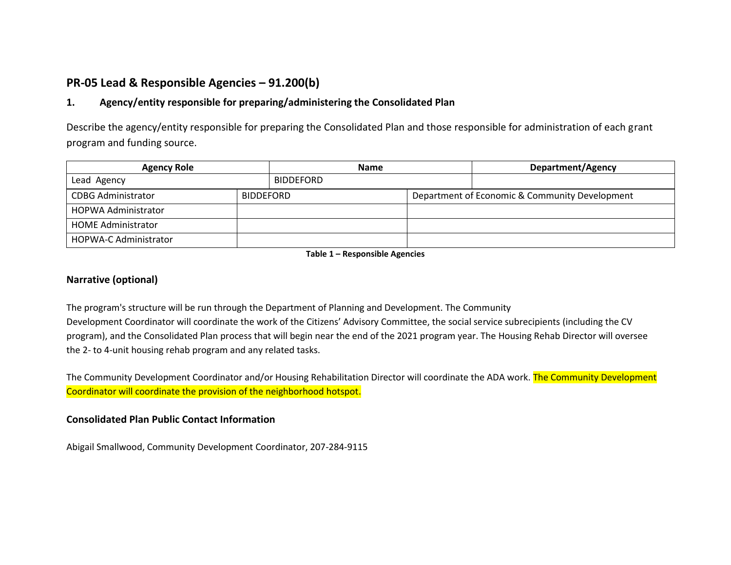## **PR-05 Lead & Responsible Agencies – 91.200(b)**

#### **1. Agency/entity responsible for preparing/administering the Consolidated Plan**

Describe the agency/entity responsible for preparing the Consolidated Plan and those responsible for administration of each grant program and funding source.

| <b>Agency Role</b>           | <b>Name</b>      |                  | <b>Department/Agency</b> |                                                |
|------------------------------|------------------|------------------|--------------------------|------------------------------------------------|
| Lead Agency                  |                  | <b>BIDDEFORD</b> |                          |                                                |
| <b>CDBG Administrator</b>    | <b>BIDDEFORD</b> |                  |                          | Department of Economic & Community Development |
| HOPWA Administrator          |                  |                  |                          |                                                |
| <b>HOME Administrator</b>    |                  |                  |                          |                                                |
| <b>HOPWA-C Administrator</b> |                  |                  |                          |                                                |

**Table 1 – Responsible Agencies**

#### **Narrative (optional)**

The program's structure will be run through the Department of Planning and Development. The Community Development Coordinator will coordinate the work of the Citizens' Advisory Committee, the social service subrecipients (including the CV program), and the Consolidated Plan process that will begin near the end of the 2021 program year. The Housing Rehab Director will oversee the 2- to 4-unit housing rehab program and any related tasks.

The Community Development Coordinator and/or Housing Rehabilitation Director will coordinate the ADA work. The Community Development Coordinator will coordinate the provision of the neighborhood hotspot.

#### **Consolidated Plan Public Contact Information**

Abigail Smallwood, Community Development Coordinator, 207-284-9115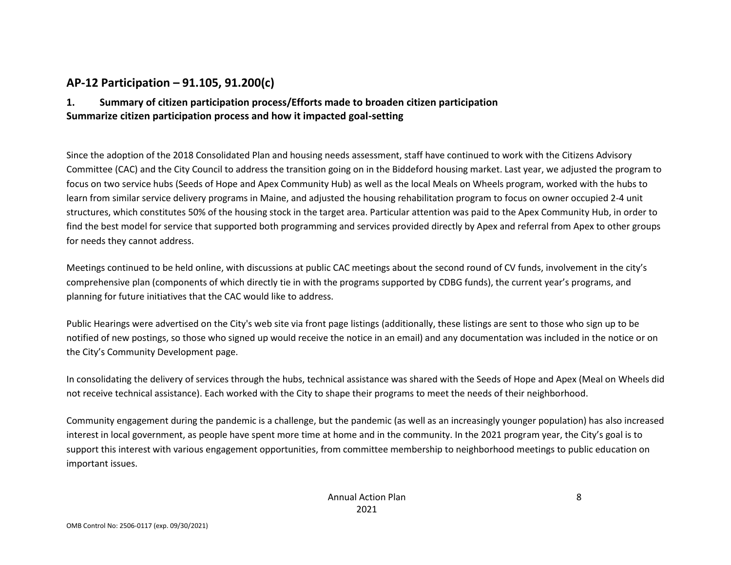## **AP-12 Participation – 91.105, 91.200(c)**

### **1. Summary of citizen participation process/Efforts made to broaden citizen participation Summarize citizen participation process and how it impacted goal-setting**

Since the adoption of the 2018 Consolidated Plan and housing needs assessment, staff have continued to work with the Citizens Advisory Committee (CAC) and the City Council to address the transition going on in the Biddeford housing market. Last year, we adjusted the program to focus on two service hubs (Seeds of Hope and Apex Community Hub) as well as the local Meals on Wheels program, worked with the hubs to learn from similar service delivery programs in Maine, and adjusted the housing rehabilitation program to focus on owner occupied 2-4 unit structures, which constitutes 50% of the housing stock in the target area. Particular attention was paid to the Apex Community Hub, in order to find the best model for service that supported both programming and services provided directly by Apex and referral from Apex to other groups for needs they cannot address.

Meetings continued to be held online, with discussions at public CAC meetings about the second round of CV funds, involvement in the city's comprehensive plan (components of which directly tie in with the programs supported by CDBG funds), the current year's programs, and planning for future initiatives that the CAC would like to address.

Public Hearings were advertised on the City's web site via front page listings (additionally, these listings are sent to those who sign up to be notified of new postings, so those who signed up would receive the notice in an email) and any documentation was included in the notice or on the City's Community Development page.

In consolidating the delivery of services through the hubs, technical assistance was shared with the Seeds of Hope and Apex (Meal on Wheels did not receive technical assistance). Each worked with the City to shape their programs to meet the needs of their neighborhood.

Community engagement during the pandemic is a challenge, but the pandemic (as well as an increasingly younger population) has also increased interest in local government, as people have spent more time at home and in the community. In the 2021 program year, the City's goal is to support this interest with various engagement opportunities, from committee membership to neighborhood meetings to public education on important issues.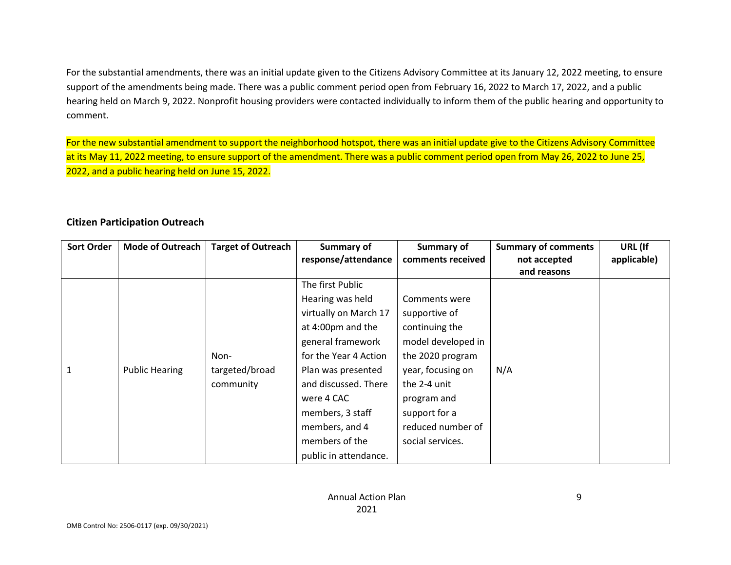For the substantial amendments, there was an initial update given to the Citizens Advisory Committee at its January 12, 2022 meeting, to ensure support of the amendments being made. There was a public comment period open from February 16, 2022 to March 17, 2022, and a public hearing held on March 9, 2022. Nonprofit housing providers were contacted individually to inform them of the public hearing and opportunity to comment.

For the new substantial amendment to support the neighborhood hotspot, there was an initial update give to the Citizens Advisory Committee at its May 11, 2022 meeting, to ensure support of the amendment. There was a public comment period open from May 26, 2022 to June 25, 2022, and a public hearing held on June 15, 2022.

#### **Citizen Participation Outreach**

| <b>Sort Order</b> | <b>Mode of Outreach</b> | <b>Target of Outreach</b> | <b>Summary of</b>     | Summary of         | <b>Summary of comments</b> | URL (If     |
|-------------------|-------------------------|---------------------------|-----------------------|--------------------|----------------------------|-------------|
|                   |                         |                           | response/attendance   | comments received  | not accepted               | applicable) |
|                   |                         |                           |                       |                    | and reasons                |             |
|                   |                         |                           | The first Public      |                    |                            |             |
|                   |                         |                           | Hearing was held      | Comments were      |                            |             |
|                   |                         |                           | virtually on March 17 | supportive of      |                            |             |
|                   |                         |                           | at 4:00pm and the     | continuing the     |                            |             |
|                   |                         |                           | general framework     | model developed in |                            |             |
|                   |                         | Non-                      | for the Year 4 Action | the 2020 program   |                            |             |
| 1                 | <b>Public Hearing</b>   | targeted/broad            | Plan was presented    | year, focusing on  | N/A                        |             |
|                   |                         | community                 | and discussed. There  | the 2-4 unit       |                            |             |
|                   |                         |                           | were 4 CAC            | program and        |                            |             |
|                   |                         |                           | members, 3 staff      | support for a      |                            |             |
|                   |                         |                           | members, and 4        | reduced number of  |                            |             |
|                   |                         |                           | members of the        | social services.   |                            |             |
|                   |                         |                           | public in attendance. |                    |                            |             |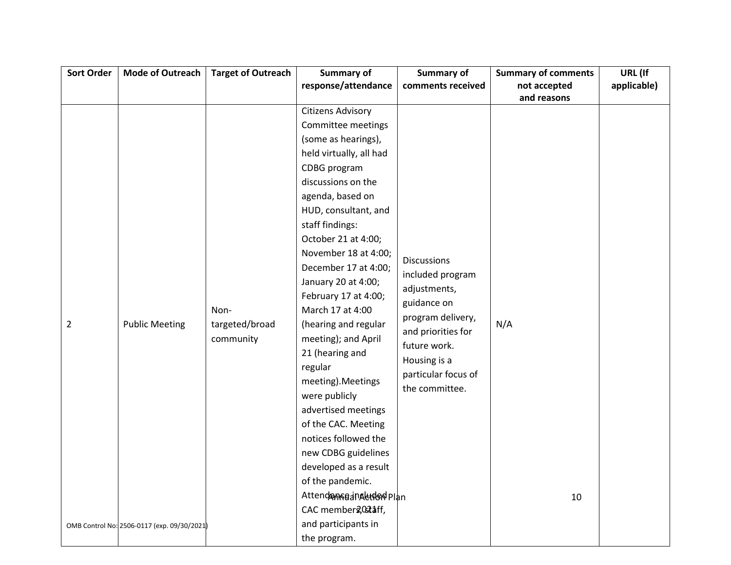| <b>Sort Order</b> | <b>Mode of Outreach</b>                     | <b>Target of Outreach</b> | Summary of               | Summary of          | <b>Summary of comments</b> | URL (If     |
|-------------------|---------------------------------------------|---------------------------|--------------------------|---------------------|----------------------------|-------------|
|                   |                                             |                           | response/attendance      | comments received   | not accepted               | applicable) |
|                   |                                             |                           |                          |                     | and reasons                |             |
|                   |                                             |                           | <b>Citizens Advisory</b> |                     |                            |             |
|                   |                                             |                           | Committee meetings       |                     |                            |             |
|                   |                                             |                           | (some as hearings),      |                     |                            |             |
|                   |                                             |                           | held virtually, all had  |                     |                            |             |
|                   |                                             |                           | CDBG program             |                     |                            |             |
|                   |                                             |                           | discussions on the       |                     |                            |             |
|                   |                                             |                           | agenda, based on         |                     |                            |             |
|                   |                                             |                           | HUD, consultant, and     |                     |                            |             |
|                   |                                             |                           | staff findings:          |                     |                            |             |
|                   |                                             |                           | October 21 at 4:00;      |                     |                            |             |
|                   |                                             |                           | November 18 at 4:00;     | <b>Discussions</b>  |                            |             |
|                   |                                             |                           | December 17 at 4:00;     | included program    |                            |             |
|                   |                                             |                           | January 20 at 4:00;      | adjustments,        |                            |             |
|                   |                                             |                           | February 17 at 4:00;     | guidance on         |                            |             |
|                   |                                             | Non-                      | March 17 at 4:00         | program delivery,   |                            |             |
| $\overline{2}$    | <b>Public Meeting</b>                       | targeted/broad            | (hearing and regular     | and priorities for  | N/A                        |             |
|                   |                                             | community                 | meeting); and April      | future work.        |                            |             |
|                   |                                             |                           | 21 (hearing and          | Housing is a        |                            |             |
|                   |                                             |                           | regular                  | particular focus of |                            |             |
|                   |                                             |                           | meeting). Meetings       | the committee.      |                            |             |
|                   |                                             |                           | were publicly            |                     |                            |             |
|                   |                                             |                           | advertised meetings      |                     |                            |             |
|                   |                                             |                           | of the CAC. Meeting      |                     |                            |             |
|                   |                                             |                           | notices followed the     |                     |                            |             |
|                   |                                             |                           | new CDBG guidelines      |                     |                            |             |
|                   |                                             |                           | developed as a result    |                     |                            |             |
|                   |                                             |                           | of the pandemic.         |                     |                            |             |
|                   |                                             |                           | AttendamseanAutomolplan  |                     | 10                         |             |
|                   |                                             |                           | CAC member 2,021 aff,    |                     |                            |             |
|                   | OMB Control No: 2506-0117 (exp. 09/30/2021) |                           | and participants in      |                     |                            |             |
|                   |                                             |                           | the program.             |                     |                            |             |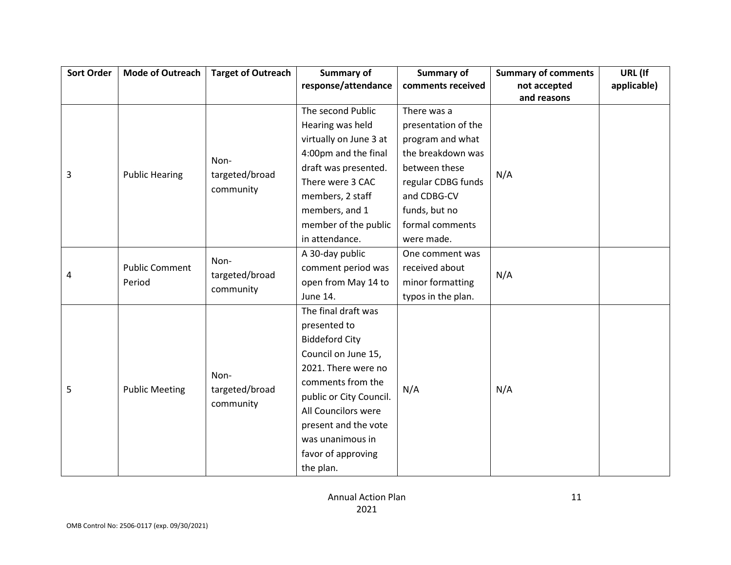| <b>Sort Order</b> | <b>Mode of Outreach</b>         | <b>Target of Outreach</b>           | <b>Summary of</b>       | Summary of          | <b>Summary of comments</b> | URL (If     |
|-------------------|---------------------------------|-------------------------------------|-------------------------|---------------------|----------------------------|-------------|
|                   |                                 |                                     | response/attendance     | comments received   | not accepted               | applicable) |
|                   |                                 |                                     |                         |                     | and reasons                |             |
|                   |                                 |                                     | The second Public       | There was a         |                            |             |
|                   |                                 |                                     | Hearing was held        | presentation of the |                            |             |
|                   |                                 |                                     | virtually on June 3 at  | program and what    |                            |             |
|                   |                                 | Non-                                | 4:00pm and the final    | the breakdown was   |                            |             |
| 3                 | <b>Public Hearing</b>           | targeted/broad                      | draft was presented.    | between these       | N/A                        |             |
|                   |                                 |                                     | There were 3 CAC        | regular CDBG funds  |                            |             |
|                   |                                 | community                           | members, 2 staff        | and CDBG-CV         |                            |             |
|                   |                                 |                                     | members, and 1          | funds, but no       |                            |             |
|                   |                                 |                                     | member of the public    | formal comments     |                            |             |
|                   |                                 |                                     | in attendance.          | were made.          |                            |             |
|                   | <b>Public Comment</b><br>Period | Non-<br>targeted/broad<br>community | A 30-day public         | One comment was     |                            |             |
|                   |                                 |                                     | comment period was      | received about      | N/A                        |             |
| 4                 |                                 |                                     | open from May 14 to     | minor formatting    |                            |             |
|                   |                                 |                                     | June 14.                | typos in the plan.  |                            |             |
|                   |                                 |                                     | The final draft was     |                     |                            |             |
|                   |                                 |                                     | presented to            |                     |                            |             |
|                   |                                 |                                     | <b>Biddeford City</b>   |                     |                            |             |
|                   |                                 |                                     | Council on June 15,     |                     |                            |             |
|                   |                                 | Non-                                | 2021. There were no     |                     |                            |             |
|                   |                                 |                                     | comments from the       |                     |                            |             |
| 5                 | <b>Public Meeting</b>           | targeted/broad                      | public or City Council. | N/A                 | N/A                        |             |
|                   |                                 | community                           | All Councilors were     |                     |                            |             |
|                   |                                 |                                     | present and the vote    |                     |                            |             |
|                   |                                 |                                     | was unanimous in        |                     |                            |             |
|                   |                                 |                                     | favor of approving      |                     |                            |             |
|                   |                                 |                                     | the plan.               |                     |                            |             |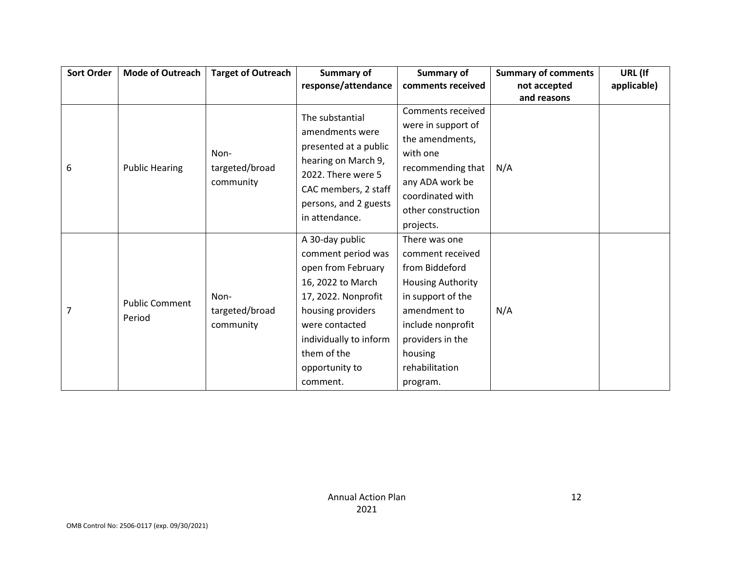| <b>Sort Order</b> | <b>Mode of Outreach</b>         | <b>Target of Outreach</b>           | <b>Summary of</b>                                                                                                                                                                                                     | Summary of                                                                                                                                                                                             | <b>Summary of comments</b> | URL (If     |
|-------------------|---------------------------------|-------------------------------------|-----------------------------------------------------------------------------------------------------------------------------------------------------------------------------------------------------------------------|--------------------------------------------------------------------------------------------------------------------------------------------------------------------------------------------------------|----------------------------|-------------|
|                   |                                 |                                     | response/attendance                                                                                                                                                                                                   | comments received                                                                                                                                                                                      | not accepted               | applicable) |
|                   |                                 |                                     |                                                                                                                                                                                                                       |                                                                                                                                                                                                        | and reasons                |             |
| 6                 | <b>Public Hearing</b>           | Non-<br>targeted/broad<br>community | The substantial<br>amendments were<br>presented at a public<br>hearing on March 9,<br>2022. There were 5<br>CAC members, 2 staff<br>persons, and 2 guests<br>in attendance.                                           | Comments received<br>were in support of<br>the amendments,<br>with one<br>recommending that<br>any ADA work be<br>coordinated with                                                                     | N/A                        |             |
|                   |                                 |                                     |                                                                                                                                                                                                                       | other construction<br>projects.                                                                                                                                                                        |                            |             |
| 7                 | <b>Public Comment</b><br>Period | Non-<br>targeted/broad<br>community | A 30-day public<br>comment period was<br>open from February<br>16, 2022 to March<br>17, 2022. Nonprofit<br>housing providers<br>were contacted<br>individually to inform<br>them of the<br>opportunity to<br>comment. | There was one<br>comment received<br>from Biddeford<br><b>Housing Authority</b><br>in support of the<br>amendment to<br>include nonprofit<br>providers in the<br>housing<br>rehabilitation<br>program. | N/A                        |             |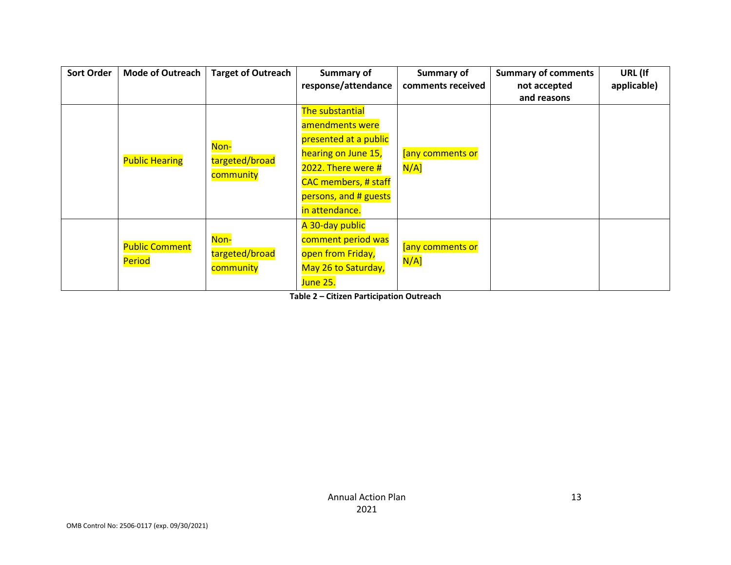| <b>Sort Order</b> | <b>Mode of Outreach</b>         | <b>Target of Outreach</b>           | Summary of                  | Summary of        | <b>Summary of comments</b> | URL (If     |
|-------------------|---------------------------------|-------------------------------------|-----------------------------|-------------------|----------------------------|-------------|
|                   |                                 |                                     | response/attendance         | comments received | not accepted               | applicable) |
|                   |                                 |                                     |                             |                   | and reasons                |             |
|                   |                                 |                                     | The substantial             |                   |                            |             |
|                   |                                 |                                     | amendments were             |                   |                            |             |
|                   |                                 |                                     | presented at a public       |                   |                            |             |
|                   |                                 | Non-<br>targeted/broad<br>community | hearing on June 15,         | [any comments or  |                            |             |
|                   | <b>Public Hearing</b>           |                                     | 2022. There were #          | $N/A$ ]           |                            |             |
|                   |                                 |                                     | <b>CAC</b> members, # staff |                   |                            |             |
|                   |                                 |                                     | persons, and # guests       |                   |                            |             |
|                   |                                 |                                     | in attendance.              |                   |                            |             |
|                   | <b>Public Comment</b><br>Period |                                     | A 30-day public             |                   |                            |             |
|                   |                                 | Non-                                | comment period was          | [any comments or  |                            |             |
|                   |                                 | targeted/broad                      | open from Friday,           |                   |                            |             |
|                   |                                 | community                           | May 26 to Saturday,         | $N/A$ ]           |                            |             |
|                   |                                 |                                     | June 25.                    |                   |                            |             |

**Table 2 – Citizen Participation Outreach**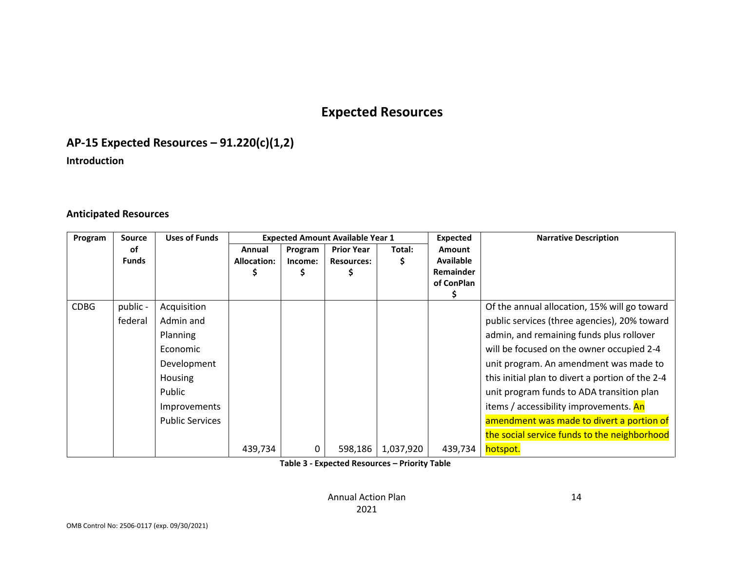# **Expected Resources**

# **AP-15 Expected Resources – 91.220(c)(1,2)**

**Introduction**

#### **Anticipated Resources**

| Program     | <b>Source</b> | <b>Uses of Funds</b>   |                    |         | <b>Expected Amount Available Year 1</b> |           | <b>Expected</b>  | <b>Narrative Description</b>                     |
|-------------|---------------|------------------------|--------------------|---------|-----------------------------------------|-----------|------------------|--------------------------------------------------|
|             | οf            |                        | Annual             | Program | <b>Prior Year</b>                       | Total:    | Amount           |                                                  |
|             | <b>Funds</b>  |                        | <b>Allocation:</b> | Income: | <b>Resources:</b>                       | S         | <b>Available</b> |                                                  |
|             |               |                        |                    |         |                                         |           | Remainder        |                                                  |
|             |               |                        |                    |         |                                         |           | of ConPlan       |                                                  |
|             |               |                        |                    |         |                                         |           |                  |                                                  |
| <b>CDBG</b> | public -      | Acquisition            |                    |         |                                         |           |                  | Of the annual allocation, 15% will go toward     |
|             | federal       | Admin and              |                    |         |                                         |           |                  | public services (three agencies), 20% toward     |
|             |               | <b>Planning</b>        |                    |         |                                         |           |                  | admin, and remaining funds plus rollover         |
|             |               | Economic               |                    |         |                                         |           |                  | will be focused on the owner occupied 2-4        |
|             |               | Development            |                    |         |                                         |           |                  | unit program. An amendment was made to           |
|             |               | <b>Housing</b>         |                    |         |                                         |           |                  | this initial plan to divert a portion of the 2-4 |
|             |               | Public                 |                    |         |                                         |           |                  | unit program funds to ADA transition plan        |
|             |               | Improvements           |                    |         |                                         |           |                  | items / accessibility improvements. An           |
|             |               | <b>Public Services</b> |                    |         |                                         |           |                  | amendment was made to divert a portion of        |
|             |               |                        |                    |         |                                         |           |                  | the social service funds to the neighborhood     |
|             |               |                        | 439,734            | 0       | 598,186                                 | 1,037,920 | 439,734          | hotspot.                                         |

**Table 3 - Expected Resources – Priority Table**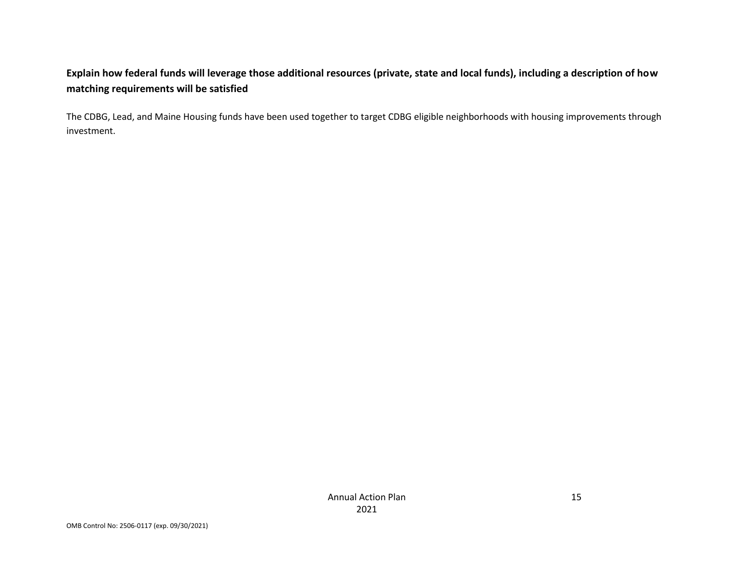## **Explain how federal funds will leverage those additional resources (private, state and local funds), including a description of how matching requirements will be satisfied**

The CDBG, Lead, and Maine Housing funds have been used together to target CDBG eligible neighborhoods with housing improvements through investment.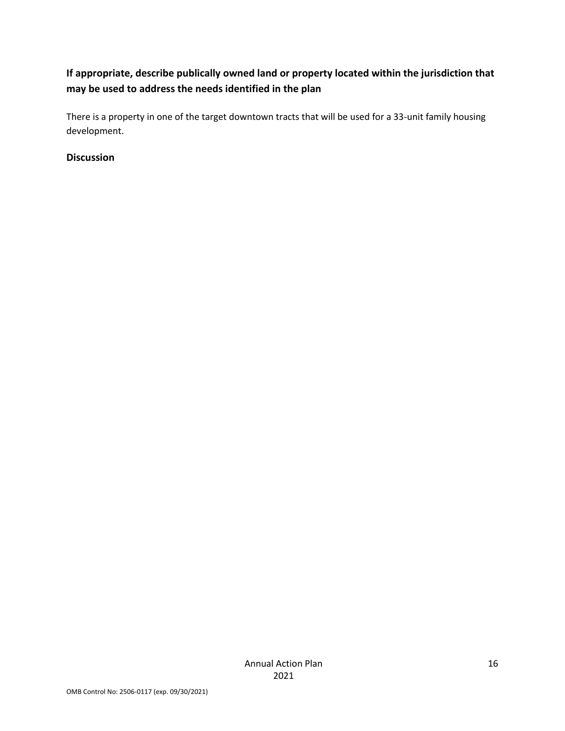## **If appropriate, describe publically owned land or property located within the jurisdiction that may be used to address the needs identified in the plan**

There is a property in one of the target downtown tracts that will be used for a 33-unit family housing development.

#### **Discussion**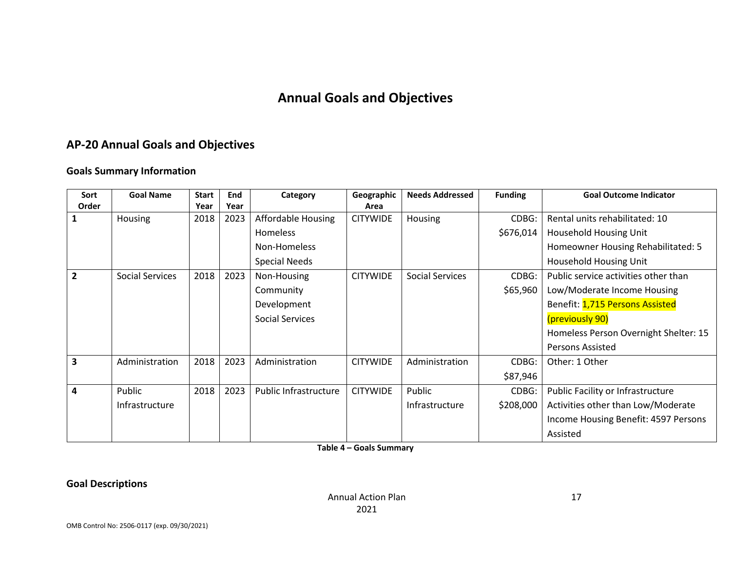# **Annual Goals and Objectives**

# **AP-20 Annual Goals and Objectives**

### **Goals Summary Information**

| Sort           | <b>Goal Name</b>       | <b>Start</b> | End  | Category               | Geographic      | <b>Needs Addressed</b> | <b>Funding</b> | <b>Goal Outcome Indicator</b>         |
|----------------|------------------------|--------------|------|------------------------|-----------------|------------------------|----------------|---------------------------------------|
| Order          |                        | Year         | Year |                        | Area            |                        |                |                                       |
|                | <b>Housing</b>         | 2018         | 2023 | Affordable Housing     | <b>CITYWIDE</b> | Housing                | CDBG:          | Rental units rehabilitated: 10        |
|                |                        |              |      | Homeless               |                 |                        | \$676,014      | Household Housing Unit                |
|                |                        |              |      | Non-Homeless           |                 |                        |                | Homeowner Housing Rehabilitated: 5    |
|                |                        |              |      | <b>Special Needs</b>   |                 |                        |                | Household Housing Unit                |
| $\overline{2}$ | <b>Social Services</b> | 2018         | 2023 | Non-Housing            | <b>CITYWIDE</b> | <b>Social Services</b> | CDBG:          | Public service activities other than  |
|                |                        |              |      | Community              |                 |                        | \$65,960       | Low/Moderate Income Housing           |
|                |                        |              |      | Development            |                 |                        |                | Benefit: 1,715 Persons Assisted       |
|                |                        |              |      | <b>Social Services</b> |                 |                        |                | (previously 90)                       |
|                |                        |              |      |                        |                 |                        |                | Homeless Person Overnight Shelter: 15 |
|                |                        |              |      |                        |                 |                        |                | <b>Persons Assisted</b>               |
| 3              | Administration         | 2018         | 2023 | Administration         | <b>CITYWIDE</b> | Administration         | CDBG:          | Other: 1 Other                        |
|                |                        |              |      |                        |                 |                        | \$87,946       |                                       |
| 4              | Public                 | 2018         | 2023 | Public Infrastructure  | <b>CITYWIDE</b> | Public                 | CDBG:          | Public Facility or Infrastructure     |
|                | Infrastructure         |              |      |                        |                 | Infrastructure         | \$208,000      | Activities other than Low/Moderate    |
|                |                        |              |      |                        |                 |                        |                | Income Housing Benefit: 4597 Persons  |
|                |                        |              |      |                        |                 |                        |                | Assisted                              |

**Table 4 – Goals Summary**

**Goal Descriptions**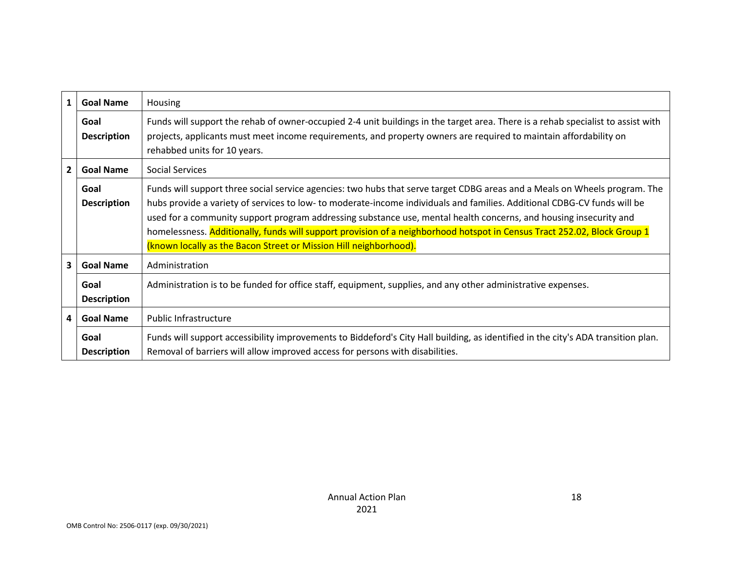| $\mathbf{1}$            | <b>Goal Name</b>           | <b>Housing</b>                                                                                                                                                                                                                                                                                                                                                                                                                                                                                                                                                               |  |  |  |  |
|-------------------------|----------------------------|------------------------------------------------------------------------------------------------------------------------------------------------------------------------------------------------------------------------------------------------------------------------------------------------------------------------------------------------------------------------------------------------------------------------------------------------------------------------------------------------------------------------------------------------------------------------------|--|--|--|--|
|                         | Goal<br><b>Description</b> | Funds will support the rehab of owner-occupied 2-4 unit buildings in the target area. There is a rehab specialist to assist with<br>projects, applicants must meet income requirements, and property owners are required to maintain affordability on<br>rehabbed units for 10 years.                                                                                                                                                                                                                                                                                        |  |  |  |  |
| $\overline{2}$          | <b>Goal Name</b>           | Social Services                                                                                                                                                                                                                                                                                                                                                                                                                                                                                                                                                              |  |  |  |  |
|                         | Goal<br><b>Description</b> | Funds will support three social service agencies: two hubs that serve target CDBG areas and a Meals on Wheels program. The<br>hubs provide a variety of services to low- to moderate-income individuals and families. Additional CDBG-CV funds will be<br>used for a community support program addressing substance use, mental health concerns, and housing insecurity and<br>homelessness. Additionally, funds will support provision of a neighborhood hotspot in Census Tract 252.02, Block Group 1<br>(known locally as the Bacon Street or Mission Hill neighborhood). |  |  |  |  |
| $\mathbf{3}$            | <b>Goal Name</b>           | Administration                                                                                                                                                                                                                                                                                                                                                                                                                                                                                                                                                               |  |  |  |  |
|                         | Goal<br><b>Description</b> | Administration is to be funded for office staff, equipment, supplies, and any other administrative expenses.                                                                                                                                                                                                                                                                                                                                                                                                                                                                 |  |  |  |  |
| $\overline{\mathbf{4}}$ | <b>Goal Name</b>           | Public Infrastructure                                                                                                                                                                                                                                                                                                                                                                                                                                                                                                                                                        |  |  |  |  |
|                         | Goal<br><b>Description</b> | Funds will support accessibility improvements to Biddeford's City Hall building, as identified in the city's ADA transition plan.<br>Removal of barriers will allow improved access for persons with disabilities.                                                                                                                                                                                                                                                                                                                                                           |  |  |  |  |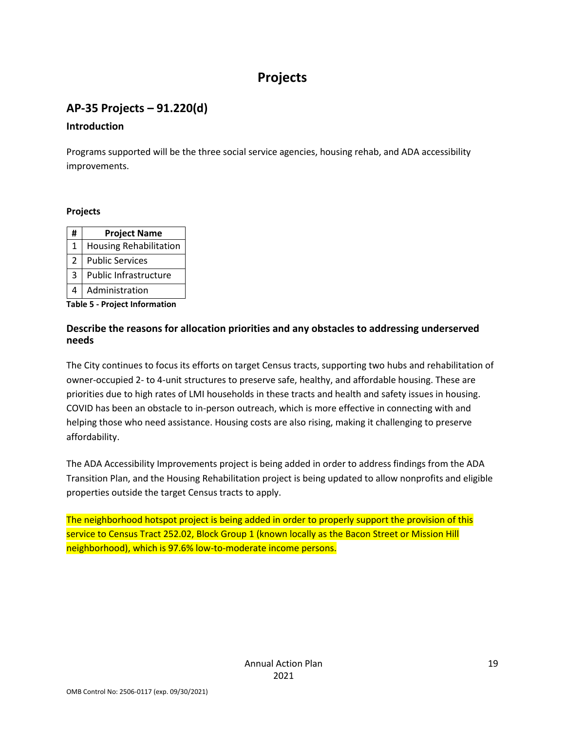# **Projects**

## **AP-35 Projects – 91.220(d)**

#### **Introduction**

Programs supported will be the three social service agencies, housing rehab, and ADA accessibility improvements.

#### **Projects**

| #              | <b>Project Name</b>           |
|----------------|-------------------------------|
| 1              | <b>Housing Rehabilitation</b> |
| $\mathfrak{p}$ | <b>Public Services</b>        |
| 3              | Public Infrastructure         |
|                | Administration                |

**Table 5 - Project Information**

#### **Describe the reasons for allocation priorities and any obstacles to addressing underserved needs**

The City continues to focus its efforts on target Census tracts, supporting two hubs and rehabilitation of owner-occupied 2- to 4-unit structures to preserve safe, healthy, and affordable housing. These are priorities due to high rates of LMI households in these tracts and health and safety issues in housing. COVID has been an obstacle to in-person outreach, which is more effective in connecting with and helping those who need assistance. Housing costs are also rising, making it challenging to preserve affordability.

The ADA Accessibility Improvements project is being added in order to address findings from the ADA Transition Plan, and the Housing Rehabilitation project is being updated to allow nonprofits and eligible properties outside the target Census tracts to apply.

The neighborhood hotspot project is being added in order to properly support the provision of this service to Census Tract 252.02, Block Group 1 (known locally as the Bacon Street or Mission Hill neighborhood), which is 97.6% low-to-moderate income persons.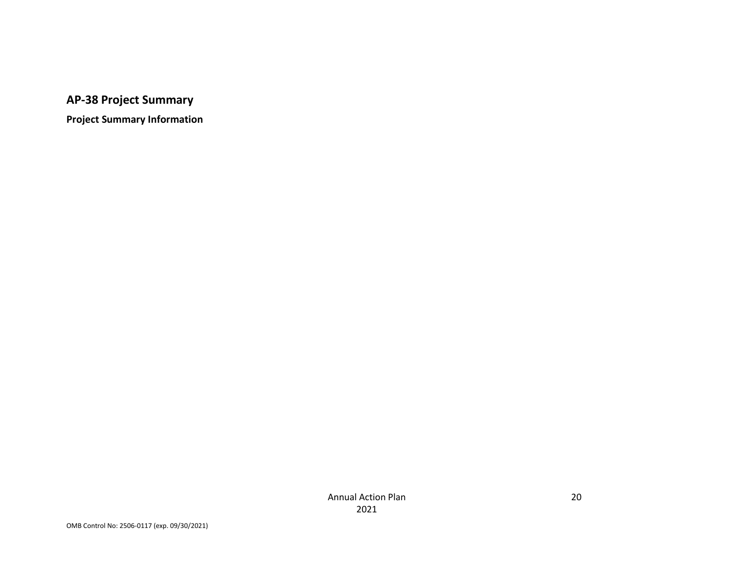# **AP-38 Project Summary**

**Project Summary Information**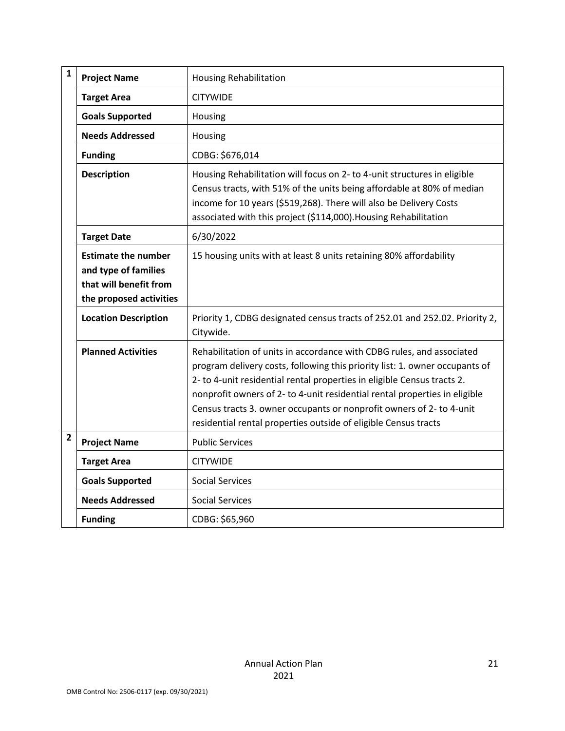| $\mathbf{1}$   | <b>Project Name</b>                                                                                     | <b>Housing Rehabilitation</b>                                                                                                                                                                                                                                                                                                                                                                                                                            |
|----------------|---------------------------------------------------------------------------------------------------------|----------------------------------------------------------------------------------------------------------------------------------------------------------------------------------------------------------------------------------------------------------------------------------------------------------------------------------------------------------------------------------------------------------------------------------------------------------|
|                | <b>Target Area</b>                                                                                      | <b>CITYWIDE</b>                                                                                                                                                                                                                                                                                                                                                                                                                                          |
|                | <b>Goals Supported</b>                                                                                  | Housing                                                                                                                                                                                                                                                                                                                                                                                                                                                  |
|                | <b>Needs Addressed</b>                                                                                  | Housing                                                                                                                                                                                                                                                                                                                                                                                                                                                  |
|                | <b>Funding</b>                                                                                          | CDBG: \$676,014                                                                                                                                                                                                                                                                                                                                                                                                                                          |
|                | <b>Description</b>                                                                                      | Housing Rehabilitation will focus on 2- to 4-unit structures in eligible<br>Census tracts, with 51% of the units being affordable at 80% of median<br>income for 10 years (\$519,268). There will also be Delivery Costs<br>associated with this project (\$114,000). Housing Rehabilitation                                                                                                                                                             |
|                | <b>Target Date</b>                                                                                      | 6/30/2022                                                                                                                                                                                                                                                                                                                                                                                                                                                |
|                | <b>Estimate the number</b><br>and type of families<br>that will benefit from<br>the proposed activities | 15 housing units with at least 8 units retaining 80% affordability                                                                                                                                                                                                                                                                                                                                                                                       |
|                | <b>Location Description</b>                                                                             | Priority 1, CDBG designated census tracts of 252.01 and 252.02. Priority 2,<br>Citywide.                                                                                                                                                                                                                                                                                                                                                                 |
|                | <b>Planned Activities</b>                                                                               | Rehabilitation of units in accordance with CDBG rules, and associated<br>program delivery costs, following this priority list: 1. owner occupants of<br>2- to 4-unit residential rental properties in eligible Census tracts 2.<br>nonprofit owners of 2- to 4-unit residential rental properties in eligible<br>Census tracts 3. owner occupants or nonprofit owners of 2- to 4-unit<br>residential rental properties outside of eligible Census tracts |
| $\overline{2}$ | <b>Project Name</b>                                                                                     | <b>Public Services</b>                                                                                                                                                                                                                                                                                                                                                                                                                                   |
|                | <b>Target Area</b>                                                                                      | <b>CITYWIDE</b>                                                                                                                                                                                                                                                                                                                                                                                                                                          |
|                | <b>Goals Supported</b>                                                                                  | <b>Social Services</b>                                                                                                                                                                                                                                                                                                                                                                                                                                   |
|                | <b>Needs Addressed</b>                                                                                  | <b>Social Services</b>                                                                                                                                                                                                                                                                                                                                                                                                                                   |
|                | <b>Funding</b>                                                                                          | CDBG: \$65,960                                                                                                                                                                                                                                                                                                                                                                                                                                           |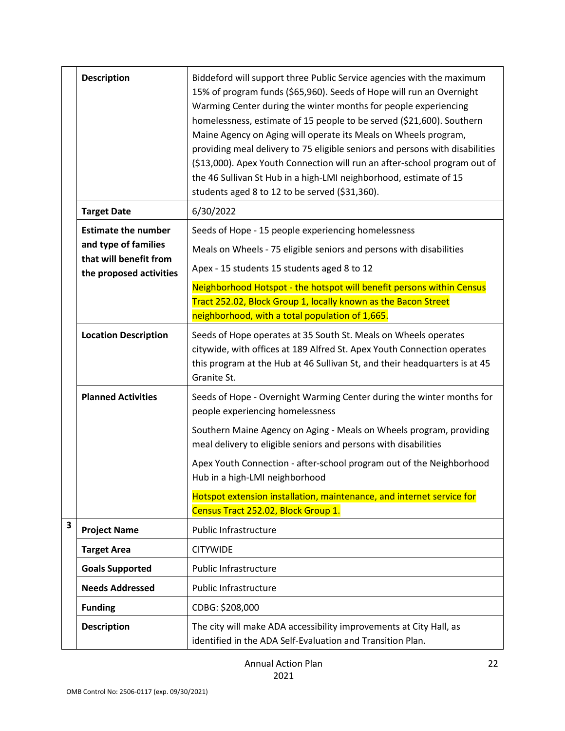|                         | <b>Description</b>                                                                                      | Biddeford will support three Public Service agencies with the maximum<br>15% of program funds (\$65,960). Seeds of Hope will run an Overnight<br>Warming Center during the winter months for people experiencing<br>homelessness, estimate of 15 people to be served (\$21,600). Southern<br>Maine Agency on Aging will operate its Meals on Wheels program,<br>providing meal delivery to 75 eligible seniors and persons with disabilities<br>(\$13,000). Apex Youth Connection will run an after-school program out of<br>the 46 Sullivan St Hub in a high-LMI neighborhood, estimate of 15<br>students aged 8 to 12 to be served (\$31,360). |
|-------------------------|---------------------------------------------------------------------------------------------------------|--------------------------------------------------------------------------------------------------------------------------------------------------------------------------------------------------------------------------------------------------------------------------------------------------------------------------------------------------------------------------------------------------------------------------------------------------------------------------------------------------------------------------------------------------------------------------------------------------------------------------------------------------|
|                         | <b>Target Date</b>                                                                                      | 6/30/2022                                                                                                                                                                                                                                                                                                                                                                                                                                                                                                                                                                                                                                        |
|                         | <b>Estimate the number</b><br>and type of families<br>that will benefit from<br>the proposed activities | Seeds of Hope - 15 people experiencing homelessness<br>Meals on Wheels - 75 eligible seniors and persons with disabilities<br>Apex - 15 students 15 students aged 8 to 12<br>Neighborhood Hotspot - the hotspot will benefit persons within Census<br>Tract 252.02, Block Group 1, locally known as the Bacon Street<br>neighborhood, with a total population of 1,665.                                                                                                                                                                                                                                                                          |
|                         | <b>Location Description</b>                                                                             | Seeds of Hope operates at 35 South St. Meals on Wheels operates<br>citywide, with offices at 189 Alfred St. Apex Youth Connection operates<br>this program at the Hub at 46 Sullivan St, and their headquarters is at 45<br>Granite St.                                                                                                                                                                                                                                                                                                                                                                                                          |
|                         | <b>Planned Activities</b>                                                                               | Seeds of Hope - Overnight Warming Center during the winter months for<br>people experiencing homelessness<br>Southern Maine Agency on Aging - Meals on Wheels program, providing<br>meal delivery to eligible seniors and persons with disabilities<br>Apex Youth Connection - after-school program out of the Neighborhood<br>Hub in a high-LMI neighborhood<br>Hotspot extension installation, maintenance, and internet service for<br>Census Tract 252.02, Block Group 1.                                                                                                                                                                    |
| $\overline{\mathbf{3}}$ | <b>Project Name</b>                                                                                     | Public Infrastructure                                                                                                                                                                                                                                                                                                                                                                                                                                                                                                                                                                                                                            |
|                         | <b>Target Area</b>                                                                                      | <b>CITYWIDE</b>                                                                                                                                                                                                                                                                                                                                                                                                                                                                                                                                                                                                                                  |
|                         | <b>Goals Supported</b>                                                                                  | Public Infrastructure                                                                                                                                                                                                                                                                                                                                                                                                                                                                                                                                                                                                                            |
|                         | <b>Needs Addressed</b>                                                                                  | Public Infrastructure                                                                                                                                                                                                                                                                                                                                                                                                                                                                                                                                                                                                                            |
|                         | <b>Funding</b>                                                                                          | CDBG: \$208,000                                                                                                                                                                                                                                                                                                                                                                                                                                                                                                                                                                                                                                  |
|                         | <b>Description</b>                                                                                      | The city will make ADA accessibility improvements at City Hall, as<br>identified in the ADA Self-Evaluation and Transition Plan.                                                                                                                                                                                                                                                                                                                                                                                                                                                                                                                 |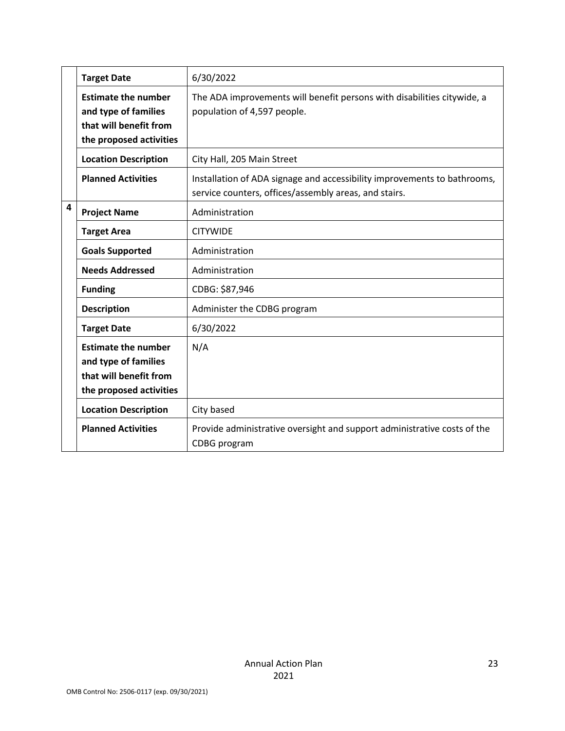|   | <b>Target Date</b>                                                                                      | 6/30/2022                                                                                                                         |
|---|---------------------------------------------------------------------------------------------------------|-----------------------------------------------------------------------------------------------------------------------------------|
|   | <b>Estimate the number</b><br>and type of families<br>that will benefit from<br>the proposed activities | The ADA improvements will benefit persons with disabilities citywide, a<br>population of 4,597 people.                            |
|   | <b>Location Description</b>                                                                             | City Hall, 205 Main Street                                                                                                        |
|   | <b>Planned Activities</b>                                                                               | Installation of ADA signage and accessibility improvements to bathrooms,<br>service counters, offices/assembly areas, and stairs. |
| 4 | <b>Project Name</b>                                                                                     | Administration                                                                                                                    |
|   | <b>Target Area</b>                                                                                      | <b>CITYWIDE</b>                                                                                                                   |
|   | <b>Goals Supported</b>                                                                                  | Administration                                                                                                                    |
|   | <b>Needs Addressed</b>                                                                                  | Administration                                                                                                                    |
|   | <b>Funding</b>                                                                                          | CDBG: \$87,946                                                                                                                    |
|   | <b>Description</b>                                                                                      | Administer the CDBG program                                                                                                       |
|   | <b>Target Date</b>                                                                                      | 6/30/2022                                                                                                                         |
|   | <b>Estimate the number</b><br>and type of families<br>that will benefit from<br>the proposed activities | N/A                                                                                                                               |
|   | <b>Location Description</b>                                                                             | City based                                                                                                                        |
|   | <b>Planned Activities</b>                                                                               | Provide administrative oversight and support administrative costs of the<br>CDBG program                                          |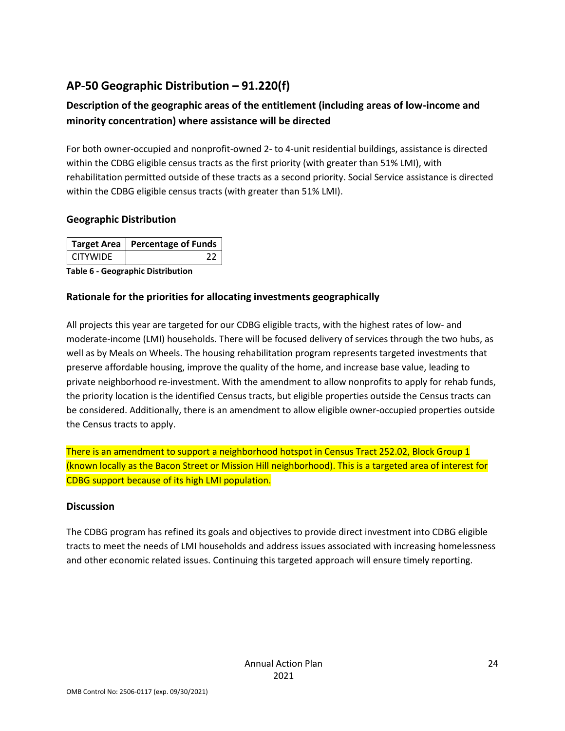# **AP-50 Geographic Distribution – 91.220(f)**

## **Description of the geographic areas of the entitlement (including areas of low-income and minority concentration) where assistance will be directed**

For both owner-occupied and nonprofit-owned 2- to 4-unit residential buildings, assistance is directed within the CDBG eligible census tracts as the first priority (with greater than 51% LMI), with rehabilitation permitted outside of these tracts as a second priority. Social Service assistance is directed within the CDBG eligible census tracts (with greater than 51% LMI).

#### **Geographic Distribution**

|                 | Target Area   Percentage of Funds |
|-----------------|-----------------------------------|
| <b>CITYWIDE</b> |                                   |

**Table 6 - Geographic Distribution** 

### **Rationale for the priorities for allocating investments geographically**

All projects this year are targeted for our CDBG eligible tracts, with the highest rates of low- and moderate-income (LMI) households. There will be focused delivery of services through the two hubs, as well as by Meals on Wheels. The housing rehabilitation program represents targeted investments that preserve affordable housing, improve the quality of the home, and increase base value, leading to private neighborhood re-investment. With the amendment to allow nonprofits to apply for rehab funds, the priority location is the identified Census tracts, but eligible properties outside the Census tracts can be considered. Additionally, there is an amendment to allow eligible owner-occupied properties outside the Census tracts to apply.

There is an amendment to support a neighborhood hotspot in Census Tract 252.02, Block Group 1 (known locally as the Bacon Street or Mission Hill neighborhood). This is a targeted area of interest for CDBG support because of its high LMI population.

#### **Discussion**

The CDBG program has refined its goals and objectives to provide direct investment into CDBG eligible tracts to meet the needs of LMI households and address issues associated with increasing homelessness and other economic related issues. Continuing this targeted approach will ensure timely reporting.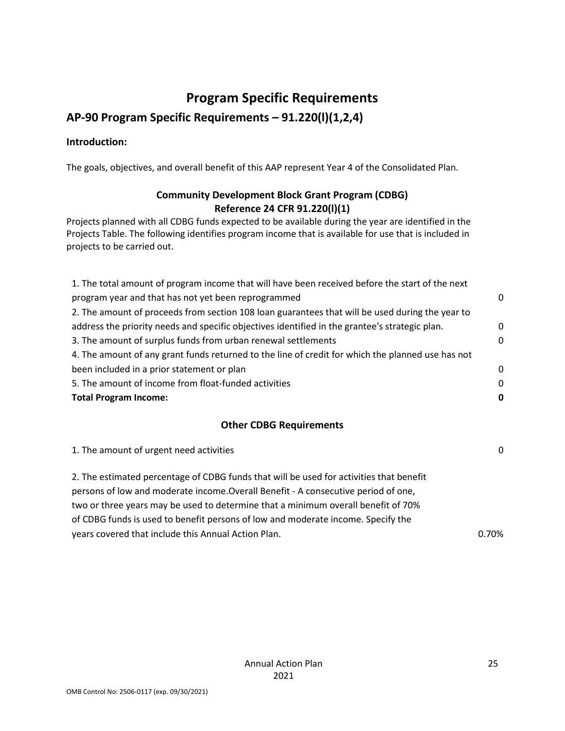# **Program Specific Requirements**

# **AP-90 Program Specific Requirements – 91.220(l)(1,2,4)**

#### **Introduction:**

The goals, objectives, and overall benefit of this AAP represent Year 4 of the Consolidated Plan.

### **Community Development Block Grant Program (CDBG) Reference 24 CFR 91.220(l)(1)**

Projects planned with all CDBG funds expected to be available during the year are identified in the Projects Table. The following identifies program income that is available for use that is included in projects to be carried out.

| 1. The total amount of program income that will have been received before the start of the next   |          |
|---------------------------------------------------------------------------------------------------|----------|
| program year and that has not yet been reprogrammed                                               | $\Omega$ |
| 2. The amount of proceeds from section 108 loan guarantees that will be used during the year to   |          |
| address the priority needs and specific objectives identified in the grantee's strategic plan.    | 0        |
| 3. The amount of surplus funds from urban renewal settlements                                     | $\Omega$ |
| 4. The amount of any grant funds returned to the line of credit for which the planned use has not |          |
| been included in a prior statement or plan                                                        | $\Omega$ |
| 5. The amount of income from float-funded activities                                              | $\Omega$ |
| <b>Total Program Income:</b>                                                                      |          |

#### **Other CDBG Requirements**

| 1. The amount of urgent need activities                                                                                                                                                                                                                                                                                                                                                                       | $\Omega$ |
|---------------------------------------------------------------------------------------------------------------------------------------------------------------------------------------------------------------------------------------------------------------------------------------------------------------------------------------------------------------------------------------------------------------|----------|
| 2. The estimated percentage of CDBG funds that will be used for activities that benefit<br>persons of low and moderate income. Overall Benefit - A consecutive period of one,<br>two or three years may be used to determine that a minimum overall benefit of 70%<br>of CDBG funds is used to benefit persons of low and moderate income. Specify the<br>years covered that include this Annual Action Plan. | 0.70%    |
|                                                                                                                                                                                                                                                                                                                                                                                                               |          |